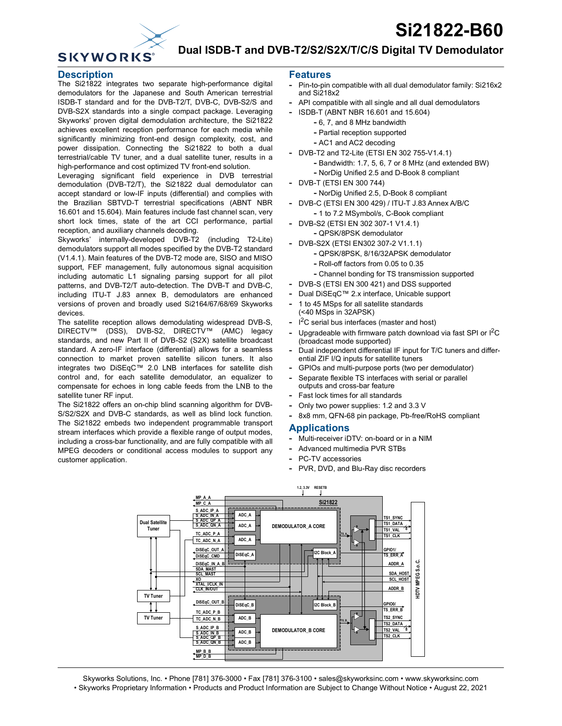# **Si21822-B60**



# **Dual ISDB-T and DVB-T2/S2/S2X/T/C/S Digital TV Demodulator**

#### **Description**

The Si21822 integrates two separate high-performance digital demodulators for the Japanese and South American terrestrial ISDB-T standard and for the DVB-T2/T, DVB-C, DVB-S2/S and DVB-S2X standards into a single compact package. Leveraging Skyworks' proven digital demodulation architecture, the Si21822 achieves excellent reception performance for each media while significantly minimizing front-end design complexity, cost, and power dissipation. Connecting the Si21822 to both a dual terrestrial/cable TV tuner, and a dual satellite tuner, results in a high-performance and cost optimized TV front-end solution.

Leveraging significant field experience in DVB terrestrial demodulation (DVB-T2/T), the Si21822 dual demodulator can accept standard or low-IF inputs (differential) and complies with the Brazilian SBTVD-T terrestrial specifications (ABNT NBR 16.601 and 15.604). Main features include fast channel scan, very short lock times, state of the art CCI performance, partial reception, and auxiliary channels decoding.

Skyworks' internally-developed DVB-T2 (including T2-Lite) demodulators support all modes specified by the DVB-T2 standard (V1.4.1). Main features of the DVB-T2 mode are, SISO and MISO support, FEF management, fully autonomous signal acquisition including automatic L1 signaling parsing support for all pilot patterns, and DVB-T2/T auto-detection. The DVB-T and DVB-C, including ITU-T J.83 annex B, demodulators are enhanced versions of proven and broadly used Si2164/67/68/69 Skyworks devices.

The satellite reception allows demodulating widespread DVB-S, DIRECTV™ (DSS), DVB-S2, DIRECTV™ (AMC) legacy standards, and new Part II of DVB-S2 (S2X) satellite broadcast standard. A zero-IF interface (differential) allows for a seamless connection to market proven satellite silicon tuners. It also integrates two DiSEqC™ 2.0 LNB interfaces for satellite dish control and, for each satellite demodulator, an equalizer to compensate for echoes in long cable feeds from the LNB to the satellite tuner RF input.

The Si21822 offers an on-chip blind scanning algorithm for DVB-S/S2/S2X and DVB-C standards, as well as blind lock function. The Si21822 embeds two independent programmable transport stream interfaces which provide a flexible range of output modes, including a cross-bar functionality, and are fully compatible with all MPEG decoders or conditional access modules to support any customer application.

#### **Features**

- **-** Pin-to-pin compatible with all dual demodulator family: Si216x2 and Si218x2
- **-** API compatible with all single and all dual demodulators
- **-** ISDB-T (ABNT NBR 16.601 and 15.604)
	- **-** 6, 7, and 8 MHz bandwidth
	- **-** Partial reception supported
	- **-** AC1 and AC2 decoding
- **-** DVB-T2 and T2-Lite (ETSI EN 302 755-V1.4.1)
	- **-** Bandwidth: 1.7, 5, 6, 7 or 8 MHz (and extended BW)
		- **-** NorDig Unified 2.5 and D-Book 8 compliant
- **-** DVB-T (ETSI EN 300 744)
	- **-** NorDig Unified 2.5, D-Book 8 compliant
- **-** DVB-C (ETSI EN 300 429) / ITU-T J.83 Annex A/B/C **-** 1 to 7.2 MSymbol/s, C-Book compliant
- **-** DVB-S2 (ETSI EN 302 307-1 V1.4.1) **-** QPSK/8PSK demodulator
- **-** DVB-S2X (ETSI EN302 307-2 V1.1.1)
	- **-** QPSK/8PSK, 8/16/32APSK demodulator
	- **-** Roll-off factors from 0.05 to 0.35
	- **-** Channel bonding for TS transmission supported
- **-** DVB-S (ETSI EN 300 421) and DSS supported
- **-** Dual DiSEqC™ 2.x interface, Unicable support
- **-** 1 to 45 MSps for all satellite standards (<40 MSps in 32APSK)
- **-** I 2C serial bus interfaces (master and host)
- Upgradeable with firmware patch download via fast SPI or I<sup>2</sup>C (broadcast mode supported)
- **-** Dual independent differential IF input for T/C tuners and differential ZIF I/Q inputs for satellite tuners
- **-** GPIOs and multi-purpose ports (two per demodulator)
- **-** Separate flexible TS interfaces with serial or parallel outputs and cross-bar feature
- **-** Fast lock times for all standards
- **-** Only two power supplies: 1.2 and 3.3 V
- **-** 8x8 mm, QFN-68 pin package, Pb-free/RoHS compliant

#### **Applications**

- **-** Multi-receiver iDTV: on-board or in a NIM
- **-** Advanced multimedia PVR STBs
- **-** PC-TV accessories
- **-** PVR, DVD, and Blu-Ray disc recorders